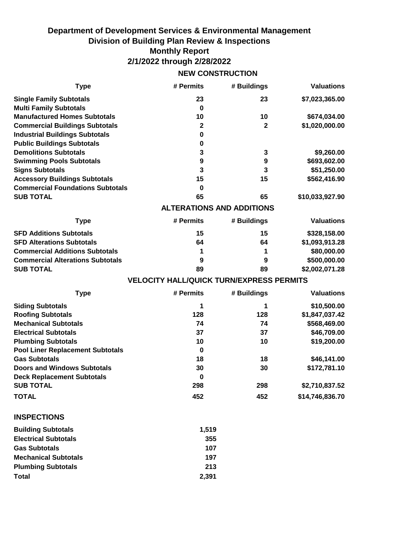## **Department of Development Services & Environmental Management Division of Building Plan Review & Inspections Monthly Report 2/1/2022 through 2/28/2022**

## **NEW CONSTRUCTION**

| <b>Type</b>                             | # Permits                                       | # Buildings  | <b>Valuations</b> |
|-----------------------------------------|-------------------------------------------------|--------------|-------------------|
| <b>Single Family Subtotals</b>          | 23                                              | 23           | \$7,023,365.00    |
| <b>Multi Family Subtotals</b>           | $\mathbf 0$                                     |              |                   |
| <b>Manufactured Homes Subtotals</b>     | 10                                              | 10           | \$674,034.00      |
| <b>Commercial Buildings Subtotals</b>   | $\mathbf{2}$                                    | $\mathbf{2}$ | \$1,020,000.00    |
| <b>Industrial Buildings Subtotals</b>   | 0                                               |              |                   |
| <b>Public Buildings Subtotals</b>       | $\pmb{0}$                                       |              |                   |
| <b>Demolitions Subtotals</b>            | 3                                               | 3            | \$9,260.00        |
| <b>Swimming Pools Subtotals</b>         | $\boldsymbol{9}$                                | 9            | \$693,602.00      |
| <b>Signs Subtotals</b>                  | 3                                               | 3            | \$51,250.00       |
| <b>Accessory Buildings Subtotals</b>    | 15                                              | 15           | \$562,416.90      |
| <b>Commercial Foundations Subtotals</b> | $\mathbf 0$                                     |              |                   |
| <b>SUB TOTAL</b>                        | 65                                              | 65           | \$10,033,927.90   |
|                                         | <b>ALTERATIONS AND ADDITIONS</b>                |              |                   |
| <b>Type</b>                             | # Permits                                       | # Buildings  | <b>Valuations</b> |
| <b>SFD Additions Subtotals</b>          | 15                                              | 15           | \$328,158.00      |
| <b>SFD Alterations Subtotals</b>        | 64                                              | 64           | \$1,093,913.28    |
| <b>Commercial Additions Subtotals</b>   | 1                                               | 1            | \$80,000.00       |
| <b>Commercial Alterations Subtotals</b> | 9                                               | 9            | \$500,000.00      |
| <b>SUB TOTAL</b>                        | 89                                              | 89           | \$2,002,071.28    |
|                                         | <b>VELOCITY HALL/QUICK TURN/EXPRESS PERMITS</b> |              |                   |
| <b>Type</b>                             | # Permits                                       | # Buildings  | <b>Valuations</b> |
| <b>Siding Subtotals</b>                 | 1                                               | 1            | \$10,500.00       |
| <b>Roofing Subtotals</b>                | 128                                             | 128          | \$1,847,037.42    |
| <b>Mechanical Subtotals</b>             | 74                                              | 74           | \$568,469.00      |
| <b>Electrical Subtotals</b>             | 37                                              | 37           | \$46,709.00       |
| <b>Plumbing Subtotals</b>               | 10                                              | 10           | \$19,200.00       |
| <b>Pool Liner Replacement Subtotals</b> | $\mathbf 0$                                     |              |                   |
| <b>Gas Subtotals</b>                    | 18                                              | 18           | \$46,141.00       |
| <b>Doors and Windows Subtotals</b>      | 30                                              | 30           | \$172,781.10      |
| <b>Deck Replacement Subtotals</b>       | $\bf{0}$                                        |              |                   |
| <b>SUB TOTAL</b>                        | 298                                             | 298          | \$2,710,837.52    |
| <b>TOTAL</b>                            | 452                                             | 452          | \$14,746,836.70   |
| <b>INSPECTIONS</b>                      |                                                 |              |                   |
| <b>Building Subtotals</b>               | 1,519                                           |              |                   |
| <b>Electrical Subtotals</b>             | 355                                             |              |                   |
| <b>Gas Subtotals</b>                    | 107                                             |              |                   |
|                                         |                                                 |              |                   |
| <b>Mechanical Subtotals</b>             | 197                                             |              |                   |
| <b>Plumbing Subtotals</b>               | 213                                             |              |                   |

**2,391**

**Total**